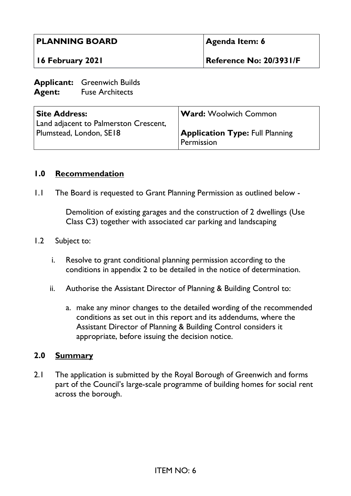| <b>PLANNING BOARD</b><br>16 February 2021                        |                                                                     | Agenda Item: 6                         |
|------------------------------------------------------------------|---------------------------------------------------------------------|----------------------------------------|
|                                                                  |                                                                     | Reference No: 20/3931/F                |
|                                                                  | <b>Applicant:</b> Greenwich Builds<br><b>Agent:</b> Fuse Architects |                                        |
| <b>Site Address:</b>                                             |                                                                     | <b>Ward:</b> Woolwich Common           |
| Land adjacent to Palmerston Crescent,<br>Plumstead, London, SE18 |                                                                     | <b>Application Type: Full Planning</b> |

#### **1.0 Recommendation**

1.1 The Board is requested to Grant Planning Permission as outlined below -

Demolition of existing garages and the construction of 2 dwellings (Use Class C3) together with associated car parking and landscaping

Permission

#### 1.2 Subject to:

- i. Resolve to grant conditional planning permission according to the conditions in appendix 2 to be detailed in the notice of determination.
- ii. Authorise the Assistant Director of Planning & Building Control to:
	- a. make any minor changes to the detailed wording of the recommended conditions as set out in this report and its addendums, where the Assistant Director of Planning & Building Control considers it appropriate, before issuing the decision notice.

#### **2.0 Summary**

2.1 The application is submitted by the Royal Borough of Greenwich and forms part of the Council's large-scale programme of building homes for social rent across the borough.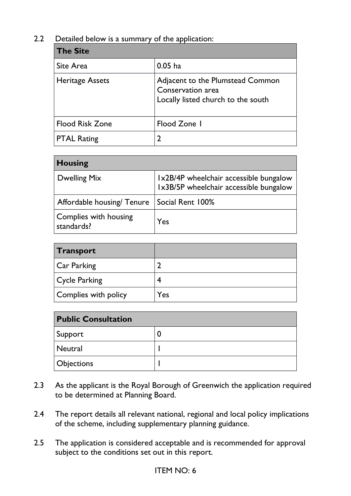### 2.2 Detailed below is a summary of the application:

| <b>The Site</b>        |                                                                                             |
|------------------------|---------------------------------------------------------------------------------------------|
| Site Area              | $0.05$ ha                                                                                   |
| <b>Heritage Assets</b> | Adjacent to the Plumstead Common<br>Conservation area<br>Locally listed church to the south |
| <b>Flood Risk Zone</b> | Flood Zone I                                                                                |
| <b>PTAL Rating</b>     | 2                                                                                           |

| <b>Housing</b>                             |                                                                                  |
|--------------------------------------------|----------------------------------------------------------------------------------|
| <b>Dwelling Mix</b>                        | Ix2B/4P wheelchair accessible bungalow<br>Ix3B/5P wheelchair accessible bungalow |
| Affordable housing/ Tenure                 | Social Rent 100%                                                                 |
| <b>Complies with housing</b><br>standards? | Yes                                                                              |

| Transport            |     |
|----------------------|-----|
| Car Parking          |     |
| Cycle Parking        |     |
| Complies with policy | Yes |

| <b>Public Consultation</b> |   |  |
|----------------------------|---|--|
| Support                    | U |  |
| Neutral                    |   |  |
| <b>Objections</b>          |   |  |

- 2.3 As the applicant is the Royal Borough of Greenwich the application required to be determined at Planning Board.
- 2.4 The report details all relevant national, regional and local policy implications of the scheme, including supplementary planning guidance.
- 2.5 The application is considered acceptable and is recommended for approval subject to the conditions set out in this report.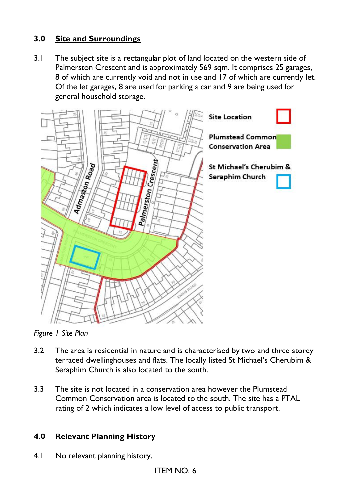# **3.0 Site and Surroundings**

3.1 The subject site is a rectangular plot of land located on the western side of Palmerston Crescent and is approximately 569 sqm. It comprises 25 garages, 8 of which are currently void and not in use and 17 of which are currently let. Of the let garages, 8 are used for parking a car and 9 are being used for general household storage.



*Figure 1 Site Plan*

- 3.2 The area is residential in nature and is characterised by two and three storey terraced dwellinghouses and flats. The locally listed St Michael's Cherubim & Seraphim Church is also located to the south.
- 3.3 The site is not located in a conservation area however the Plumstead Common Conservation area is located to the south. The site has a PTAL rating of 2 which indicates a low level of access to public transport.

## **4.0 Relevant Planning History**

4.1 No relevant planning history.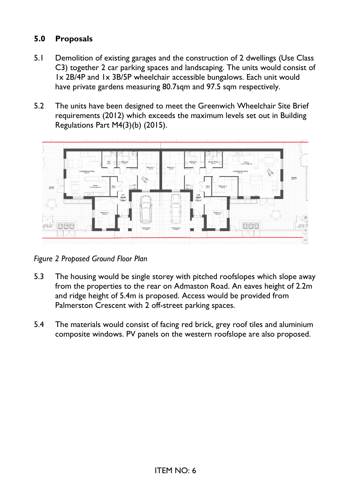# **5.0 Proposals**

- 5.1 Demolition of existing garages and the construction of 2 dwellings (Use Class C3) together 2 car parking spaces and landscaping. The units would consist of 1x 2B/4P and 1x 3B/5P wheelchair accessible bungalows. Each unit would have private gardens measuring 80.7sqm and 97.5 sqm respectively.
- 5.2 The units have been designed to meet the Greenwich Wheelchair Site Brief requirements (2012) which exceeds the maximum levels set out in Building Regulations Part M4(3)(b) (2015).



*Figure 2 Proposed Ground Floor Plan*

- 5.3 The housing would be single storey with pitched roofslopes which slope away from the properties to the rear on Admaston Road. An eaves height of 2.2m and ridge height of 5.4m is proposed. Access would be provided from Palmerston Crescent with 2 off-street parking spaces.
- 5.4 The materials would consist of facing red brick, grey roof tiles and aluminium composite windows. PV panels on the western roofslope are also proposed.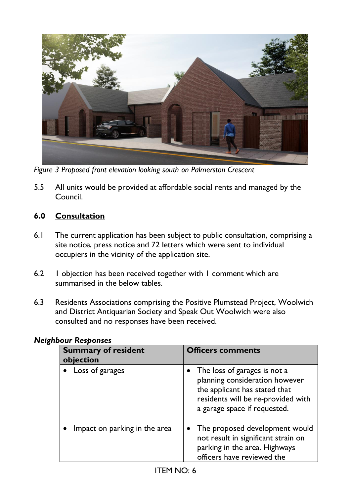

*Figure 3 Proposed front elevation looking south on Palmerston Crescent*

5.5 All units would be provided at affordable social rents and managed by the Council.

## **6.0 Consultation**

- 6.1 The current application has been subject to public consultation, comprising a site notice, press notice and 72 letters which were sent to individual occupiers in the vicinity of the application site.
- 6.2 1 objection has been received together with 1 comment which are summarised in the below tables.
- 6.3 Residents Associations comprising the Positive Plumstead Project, Woolwich and District Antiquarian Society and Speak Out Woolwich were also consulted and no responses have been received.

| <b>Summary of resident</b><br>objection | <b>Officers comments</b>                                                                                                                                              |
|-----------------------------------------|-----------------------------------------------------------------------------------------------------------------------------------------------------------------------|
| Loss of garages                         | The loss of garages is not a<br>planning consideration however<br>the applicant has stated that<br>residents will be re-provided with<br>a garage space if requested. |
| Impact on parking in the area           | The proposed development would<br>not result in significant strain on<br>parking in the area. Highways<br>officers have reviewed the                                  |

### *Neighbour Responses*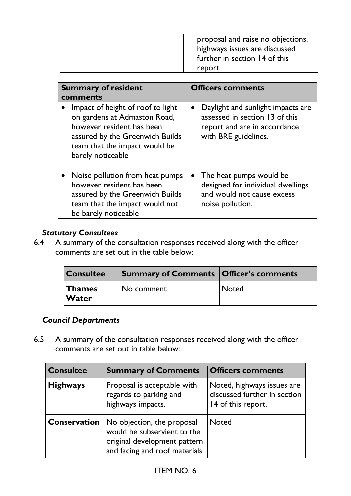| further in section 14 of this<br>report. |
|------------------------------------------|
|------------------------------------------|

| <b>Summary of resident</b><br>comments                                                                                                                                                               | <b>Officers comments</b>                                                                                                                 |
|------------------------------------------------------------------------------------------------------------------------------------------------------------------------------------------------------|------------------------------------------------------------------------------------------------------------------------------------------|
| Impact of height of roof to light<br>$\bullet$<br>on gardens at Admaston Road,<br>however resident has been<br>assured by the Greenwich Builds<br>team that the impact would be<br>barely noticeable | Daylight and sunlight impacts are<br>$\bullet$<br>assessed in section 13 of this<br>report and are in accordance<br>with BRE guidelines. |
| Noise pollution from heat pumps<br>however resident has been<br>assured by the Greenwich Builds<br>team that the impact would not<br>be barely noticeable                                            | The heat pumps would be<br>designed for individual dwellings<br>and would not cause excess<br>noise pollution.                           |

### *Statutory Consultees*

6.4 A summary of the consultation responses received along with the officer comments are set out in the table below:

| <b>Consultee</b>       | <b>Summary of Comments   Officer's comments</b> |              |
|------------------------|-------------------------------------------------|--------------|
| <b>Thames</b><br>Water | No comment                                      | <b>Noted</b> |

### *Council Departments*

6.5 A summary of the consultation responses received along with the officer comments are set out in table below:

| <b>Consultee</b>    | <b>Summary of Comments</b>                                                                                                 | <b>Officers comments</b>                                                         |
|---------------------|----------------------------------------------------------------------------------------------------------------------------|----------------------------------------------------------------------------------|
| <b>Highways</b>     | Proposal is acceptable with<br>regards to parking and<br>highways impacts.                                                 | Noted, highways issues are<br>discussed further in section<br>14 of this report. |
| <b>Conservation</b> | No objection, the proposal<br>would be subservient to the<br>original development pattern<br>and facing and roof materials | <b>Noted</b>                                                                     |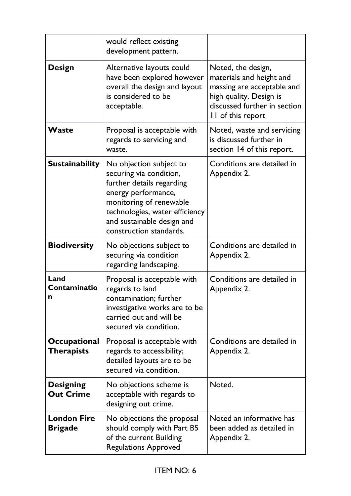|                                          | would reflect existing<br>development pattern.                                                                                                                                                                               |                                                                                                                                                              |
|------------------------------------------|------------------------------------------------------------------------------------------------------------------------------------------------------------------------------------------------------------------------------|--------------------------------------------------------------------------------------------------------------------------------------------------------------|
| <b>Design</b>                            | Alternative layouts could<br>have been explored however<br>overall the design and layout<br>is considered to be<br>acceptable.                                                                                               | Noted, the design,<br>materials and height and<br>massing are acceptable and<br>high quality. Design is<br>discussed further in section<br>II of this report |
| Waste                                    | Proposal is acceptable with<br>regards to servicing and<br>waste.                                                                                                                                                            | Noted, waste and servicing<br>is discussed further in<br>section 14 of this report.                                                                          |
| <b>Sustainability</b>                    | No objection subject to<br>securing via condition,<br>further details regarding<br>energy performance,<br>monitoring of renewable<br>technologies, water efficiency<br>and sustainable design and<br>construction standards. | Conditions are detailed in<br>Appendix 2.                                                                                                                    |
| <b>Biodiversity</b>                      | No objections subject to<br>securing via condition<br>regarding landscaping.                                                                                                                                                 | Conditions are detailed in<br>Appendix 2.                                                                                                                    |
| Land<br>Contaminatio<br>n                | Proposal is acceptable with<br>regards to land<br>contamination; further<br>investigative works are to be<br>carried out and will be<br>secured via condition.                                                               | Conditions are detailed in<br>Appendix 2.                                                                                                                    |
| <b>Occupational</b><br><b>Therapists</b> | Proposal is acceptable with<br>regards to accessibility;<br>detailed layouts are to be<br>secured via condition.                                                                                                             | Conditions are detailed in<br>Appendix 2.                                                                                                                    |
| <b>Designing</b><br><b>Out Crime</b>     | No objections scheme is<br>acceptable with regards to<br>designing out crime.                                                                                                                                                | Noted.                                                                                                                                                       |
| <b>London Fire</b><br><b>Brigade</b>     | No objections the proposal<br>should comply with Part B5<br>of the current Building<br><b>Regulations Approved</b>                                                                                                           | Noted an informative has<br>been added as detailed in<br>Appendix 2.                                                                                         |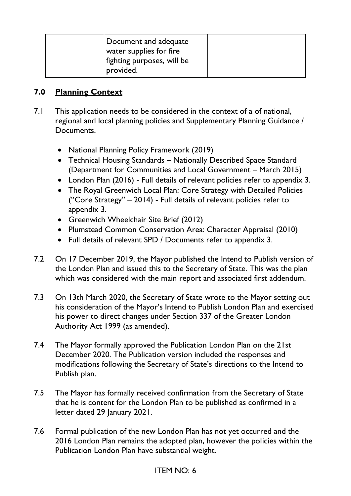| Document and adequate<br>water supplies for fire |  |
|--------------------------------------------------|--|
| fighting purposes, will be<br>provided.          |  |

### **7.0 Planning Context**

- 7.1 This application needs to be considered in the context of a of national, regional and local planning policies and Supplementary Planning Guidance / Documents.
	- National Planning Policy Framework (2019)
	- Technical Housing Standards Nationally Described Space Standard (Department for Communities and Local Government – March 2015)
	- London Plan (2016) Full details of relevant policies refer to appendix 3.
	- The Royal Greenwich Local Plan: Core Strategy with Detailed Policies ("Core Strategy" – 2014) - Full details of relevant policies refer to appendix 3.
	- Greenwich Wheelchair Site Brief (2012)
	- Plumstead Common Conservation Area: Character Appraisal (2010)
	- Full details of relevant SPD / Documents refer to appendix 3.
- 7.2 On 17 December 2019, the Mayor published the Intend to Publish version of the London Plan and issued this to the Secretary of State. This was the plan which was considered with the main report and associated first addendum.
- 7.3 On 13th March 2020, the Secretary of State wrote to the Mayor setting out his consideration of the Mayor's Intend to Publish London Plan and exercised his power to direct changes under Section 337 of the Greater London Authority Act 1999 (as amended).
- 7.4 The Mayor formally approved the Publication London Plan on the 21st December 2020. The Publication version included the responses and modifications following the Secretary of State's directions to the Intend to Publish plan.
- 7.5 The Mayor has formally received confirmation from the Secretary of State that he is content for the London Plan to be published as confirmed in a letter dated 29 January 2021.
- 7.6 Formal publication of the new London Plan has not yet occurred and the 2016 London Plan remains the adopted plan, however the policies within the Publication London Plan have substantial weight.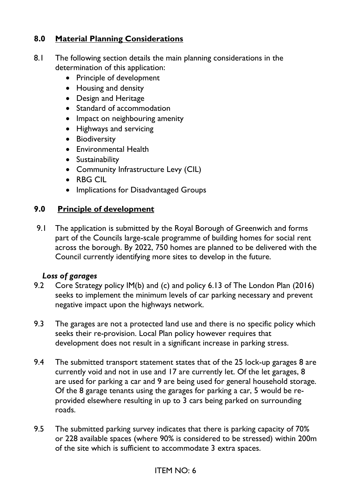# **8.0 Material Planning Considerations**

- 8.1 The following section details the main planning considerations in the determination of this application:
	- Principle of development
	- Housing and density
	- Design and Heritage
	- Standard of accommodation
	- Impact on neighbouring amenity
	- Highways and servicing
	- Biodiversity
	- Environmental Health
	- Sustainability
	- Community Infrastructure Levy (CIL)
	- RBG CIL
	- Implications for Disadvantaged Groups

## **9.0 Principle of development**

9.1 The application is submitted by the Royal Borough of Greenwich and forms part of the Councils large-scale programme of building homes for social rent across the borough. By 2022, 750 homes are planned to be delivered with the Council currently identifying more sites to develop in the future.

### *Loss of garages*

- 9.2 Core Strategy policy IM(b) and (c) and policy 6.13 of The London Plan (2016) seeks to implement the minimum levels of car parking necessary and prevent negative impact upon the highways network.
- 9.3 The garages are not a protected land use and there is no specific policy which seeks their re-provision. Local Plan policy however requires that development does not result in a significant increase in parking stress.
- 9.4 The submitted transport statement states that of the 25 lock-up garages 8 are currently void and not in use and 17 are currently let. Of the let garages, 8 are used for parking a car and 9 are being used for general household storage. Of the 8 garage tenants using the garages for parking a car, 5 would be reprovided elsewhere resulting in up to 3 cars being parked on surrounding roads.
- 9.5 The submitted parking survey indicates that there is parking capacity of 70% or 228 available spaces (where 90% is considered to be stressed) within 200m of the site which is sufficient to accommodate 3 extra spaces.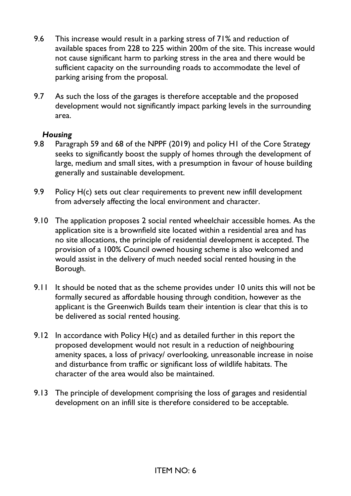- 9.6 This increase would result in a parking stress of 71% and reduction of available spaces from 228 to 225 within 200m of the site. This increase would not cause significant harm to parking stress in the area and there would be sufficient capacity on the surrounding roads to accommodate the level of parking arising from the proposal.
- 9.7 As such the loss of the garages is therefore acceptable and the proposed development would not significantly impact parking levels in the surrounding area.

#### *Housing*

- 9.8 Paragraph 59 and 68 of the NPPF (2019) and policy H1 of the Core Strategy seeks to significantly boost the supply of homes through the development of large, medium and small sites, with a presumption in favour of house building generally and sustainable development.
- 9.9 Policy H(c) sets out clear requirements to prevent new infill development from adversely affecting the local environment and character.
- 9.10 The application proposes 2 social rented wheelchair accessible homes. As the application site is a brownfield site located within a residential area and has no site allocations, the principle of residential development is accepted. The provision of a 100% Council owned housing scheme is also welcomed and would assist in the delivery of much needed social rented housing in the Borough.
- 9.11 It should be noted that as the scheme provides under 10 units this will not be formally secured as affordable housing through condition, however as the applicant is the Greenwich Builds team their intention is clear that this is to be delivered as social rented housing.
- 9.12 In accordance with Policy  $H(c)$  and as detailed further in this report the proposed development would not result in a reduction of neighbouring amenity spaces, a loss of privacy/ overlooking, unreasonable increase in noise and disturbance from traffic or significant loss of wildlife habitats. The character of the area would also be maintained.
- 9.13 The principle of development comprising the loss of garages and residential development on an infill site is therefore considered to be acceptable.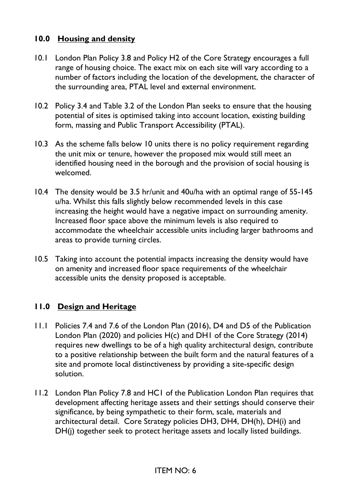## **10.0 Housing and density**

- 10.1 London Plan Policy 3.8 and Policy H2 of the Core Strategy encourages a full range of housing choice. The exact mix on each site will vary according to a number of factors including the location of the development, the character of the surrounding area, PTAL level and external environment.
- 10.2 Policy 3.4 and Table 3.2 of the London Plan seeks to ensure that the housing potential of sites is optimised taking into account location, existing building form, massing and Public Transport Accessibility (PTAL).
- 10.3 As the scheme falls below 10 units there is no policy requirement regarding the unit mix or tenure, however the proposed mix would still meet an identified housing need in the borough and the provision of social housing is welcomed.
- 10.4 The density would be 3.5 hr/unit and 40u/ha with an optimal range of 55-145 u/ha. Whilst this falls slightly below recommended levels in this case increasing the height would have a negative impact on surrounding amenity. Increased floor space above the minimum levels is also required to accommodate the wheelchair accessible units including larger bathrooms and areas to provide turning circles.
- 10.5 Taking into account the potential impacts increasing the density would have on amenity and increased floor space requirements of the wheelchair accessible units the density proposed is acceptable.

### **11.0 Design and Heritage**

- 11.1 Policies 7.4 and 7.6 of the London Plan (2016), D4 and D5 of the Publication London Plan (2020) and policies H(c) and DH1 of the Core Strategy (2014) requires new dwellings to be of a high quality architectural design, contribute to a positive relationship between the built form and the natural features of a site and promote local distinctiveness by providing a site-specific design solution.
- 11.2 London Plan Policy 7.8 and HC1 of the Publication London Plan requires that development affecting heritage assets and their settings should conserve their significance, by being sympathetic to their form, scale, materials and architectural detail. Core Strategy policies DH3, DH4, DH(h), DH(i) and DH(j) together seek to protect heritage assets and locally listed buildings.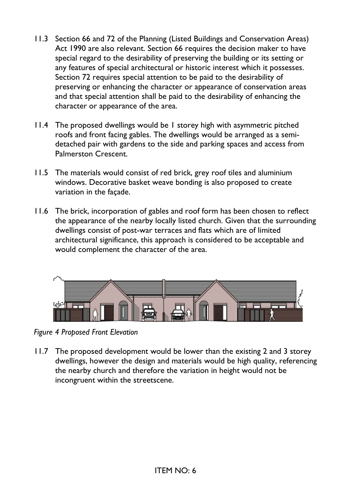- 11.3 Section 66 and 72 of the Planning (Listed Buildings and Conservation Areas) Act 1990 are also relevant. Section 66 requires the decision maker to have special regard to the desirability of preserving the building or its setting or any features of special architectural or historic interest which it possesses. Section 72 requires special attention to be paid to the desirability of preserving or enhancing the character or appearance of conservation areas and that special attention shall be paid to the desirability of enhancing the character or appearance of the area.
- 11.4 The proposed dwellings would be 1 storey high with asymmetric pitched roofs and front facing gables. The dwellings would be arranged as a semidetached pair with gardens to the side and parking spaces and access from Palmerston Crescent.
- 11.5 The materials would consist of red brick, grey roof tiles and aluminium windows. Decorative basket weave bonding is also proposed to create variation in the façade.
- 11.6 The brick, incorporation of gables and roof form has been chosen to reflect the appearance of the nearby locally listed church. Given that the surrounding dwellings consist of post-war terraces and flats which are of limited architectural significance, this approach is considered to be acceptable and would complement the character of the area.



*Figure 4 Proposed Front Elevation*

11.7 The proposed development would be lower than the existing 2 and 3 storey dwellings, however the design and materials would be high quality, referencing the nearby church and therefore the variation in height would not be incongruent within the streetscene.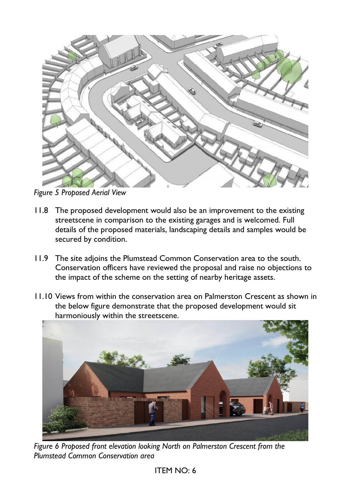

*Figure 5 Proposed Aerial View*

- 11.8 The proposed development would also be an improvement to the existing streetscene in comparison to the existing garages and is welcomed. Full details of the proposed materials, landscaping details and samples would be secured by condition.
- 11.9 The site adjoins the Plumstead Common Conservation area to the south. Conservation officers have reviewed the proposal and raise no objections to the impact of the scheme on the setting of nearby heritage assets.
- 11.10 Views from within the conservation area on Palmerston Crescent as shown in the below figure demonstrate that the proposed development would sit harmoniously within the streetscene.



*Figure 6 Proposed front elevation looking North on Palmerston Crescent from the Plumstead Common Conservation area*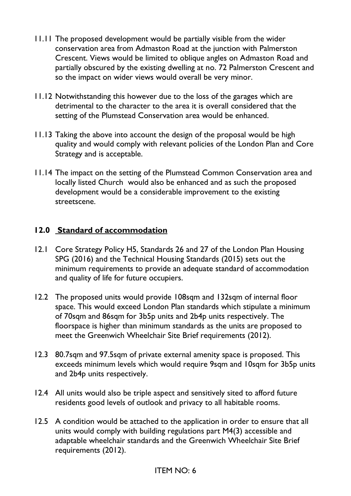- 11.11 The proposed development would be partially visible from the wider conservation area from Admaston Road at the junction with Palmerston Crescent. Views would be limited to oblique angles on Admaston Road and partially obscured by the existing dwelling at no. 72 Palmerston Crescent and so the impact on wider views would overall be very minor.
- 11.12 Notwithstanding this however due to the loss of the garages which are detrimental to the character to the area it is overall considered that the setting of the Plumstead Conservation area would be enhanced.
- 11.13 Taking the above into account the design of the proposal would be high quality and would comply with relevant policies of the London Plan and Core Strategy and is acceptable.
- 11.14 The impact on the setting of the Plumstead Common Conservation area and locally listed Church would also be enhanced and as such the proposed development would be a considerable improvement to the existing streetscene.

### **12.0 Standard of accommodation**

- 12.1 Core Strategy Policy H5, Standards 26 and 27 of the London Plan Housing SPG (2016) and the Technical Housing Standards (2015) sets out the minimum requirements to provide an adequate standard of accommodation and quality of life for future occupiers.
- 12.2 The proposed units would provide 108sqm and 132sqm of internal floor space. This would exceed London Plan standards which stipulate a minimum of 70sqm and 86sqm for 3b5p units and 2b4p units respectively. The floorspace is higher than minimum standards as the units are proposed to meet the Greenwich Wheelchair Site Brief requirements (2012).
- 12.3 80.7sqm and 97.5sqm of private external amenity space is proposed. This exceeds minimum levels which would require 9sqm and 10sqm for 3b5p units and 2b4p units respectively.
- 12.4 All units would also be triple aspect and sensitively sited to afford future residents good levels of outlook and privacy to all habitable rooms.
- 12.5 A condition would be attached to the application in order to ensure that all units would comply with building regulations part M4(3) accessible and adaptable wheelchair standards and the Greenwich Wheelchair Site Brief requirements (2012).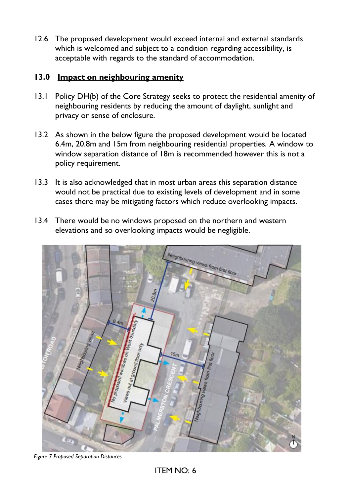12.6 The proposed development would exceed internal and external standards which is welcomed and subject to a condition regarding accessibility, is acceptable with regards to the standard of accommodation.

### **13.0 Impact on neighbouring amenity**

- 13.1 Policy DH(b) of the Core Strategy seeks to protect the residential amenity of neighbouring residents by reducing the amount of daylight, sunlight and privacy or sense of enclosure.
- 13.2 As shown in the below figure the proposed development would be located 6.4m, 20.8m and 15m from neighbouring residential properties. A window to window separation distance of 18m is recommended however this is not a policy requirement.
- 13.3 It is also acknowledged that in most urban areas this separation distance would not be practical due to existing levels of development and in some cases there may be mitigating factors which reduce overlooking impacts.
- 13.4 There would be no windows proposed on the northern and western elevations and so overlooking impacts would be negligible.



*Figure 7 Proposed Separation Distances*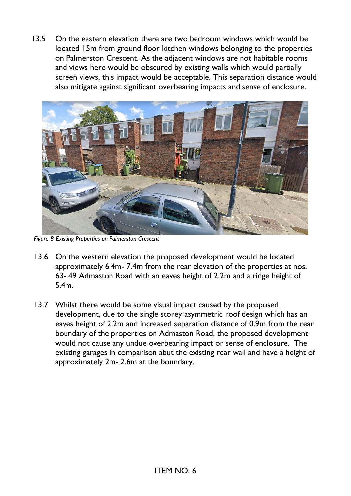13.5 On the eastern elevation there are two bedroom windows which would be located 15m from ground floor kitchen windows belonging to the properties on Palmerston Crescent. As the adjacent windows are not habitable rooms and views here would be obscured by existing walls which would partially screen views, this impact would be acceptable. This separation distance would also mitigate against significant overbearing impacts and sense of enclosure.



*Figure 8 Existing Properties on Palmerston Crescent*

- 13.6 On the western elevation the proposed development would be located approximately 6.4m- 7.4m from the rear elevation of the properties at nos. 63- 49 Admaston Road with an eaves height of 2.2m and a ridge height of 5.4m.
- 13.7 Whilst there would be some visual impact caused by the proposed development, due to the single storey asymmetric roof design which has an eaves height of 2.2m and increased separation distance of 0.9m from the rear boundary of the properties on Admaston Road, the proposed development would not cause any undue overbearing impact or sense of enclosure. The existing garages in comparison abut the existing rear wall and have a height of approximately 2m- 2.6m at the boundary.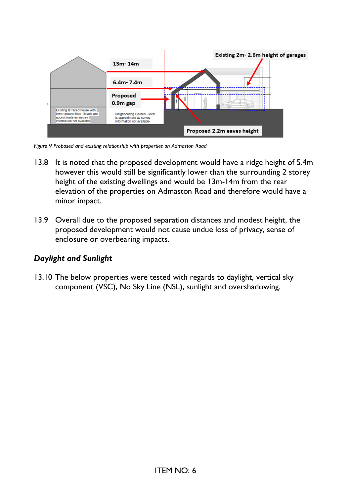

*Figure 9 Proposed and existing relationship with properties on Admaston Road*

- 13.8 It is noted that the proposed development would have a ridge height of 5.4m however this would still be significantly lower than the surrounding 2 storey height of the existing dwellings and would be 13m-14m from the rear elevation of the properties on Admaston Road and therefore would have a minor impact.
- 13.9 Overall due to the proposed separation distances and modest height, the proposed development would not cause undue loss of privacy, sense of enclosure or overbearing impacts.

### *Daylight and Sunlight*

13.10 The below properties were tested with regards to daylight, vertical sky component (VSC), No Sky Line (NSL), sunlight and overshadowing.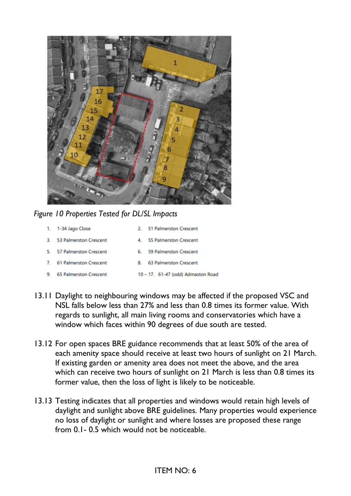

*Figure 10 Properties Tested for DL/SL Impacts*

| 1.           | 1-34 Jago Close               |    | 2. 51 Palmerston Crescent          |
|--------------|-------------------------------|----|------------------------------------|
| 3.           | 53 Palmerston Crescent        | 4  | 55 Palmerston Crescent             |
| 5.           | 57 Palmerston Crescent        | 6. | 59 Palmerston Crescent             |
| $\mathbf{7}$ | <b>61 Palmerston Crescent</b> | 8. | 63 Palmerston Crescent             |
| 9.           | <b>65 Palmerston Crescent</b> |    | 10 - 17. 61-47 (odd) Admaston Road |

- 13.11 Daylight to neighbouring windows may be affected if the proposed VSC and NSL falls below less than 27% and less than 0.8 times its former value. With regards to sunlight, all main living rooms and conservatories which have a window which faces within 90 degrees of due south are tested.
- 13.12 For open spaces BRE guidance recommends that at least 50% of the area of each amenity space should receive at least two hours of sunlight on 21 March. If existing garden or amenity area does not meet the above, and the area which can receive two hours of sunlight on 21 March is less than 0.8 times its former value, then the loss of light is likely to be noticeable.
- 13.13 Testing indicates that all properties and windows would retain high levels of daylight and sunlight above BRE guidelines. Many properties would experience no loss of daylight or sunlight and where losses are proposed these range from 0.1- 0.5 which would not be noticeable.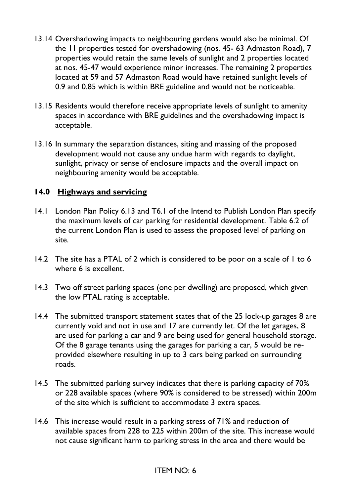- 13.14 Overshadowing impacts to neighbouring gardens would also be minimal. Of the 11 properties tested for overshadowing (nos. 45- 63 Admaston Road), 7 properties would retain the same levels of sunlight and 2 properties located at nos. 45-47 would experience minor increases. The remaining 2 properties located at 59 and 57 Admaston Road would have retained sunlight levels of 0.9 and 0.85 which is within BRE guideline and would not be noticeable.
- 13.15 Residents would therefore receive appropriate levels of sunlight to amenity spaces in accordance with BRE guidelines and the overshadowing impact is acceptable.
- 13.16 In summary the separation distances, siting and massing of the proposed development would not cause any undue harm with regards to daylight, sunlight, privacy or sense of enclosure impacts and the overall impact on neighbouring amenity would be acceptable.

#### **14.0 Highways and servicing**

- 14.1 London Plan Policy 6.13 and T6.1 of the Intend to Publish London Plan specify the maximum levels of car parking for residential development. Table 6.2 of the current London Plan is used to assess the proposed level of parking on site.
- 14.2 The site has a PTAL of 2 which is considered to be poor on a scale of 1 to 6 where 6 is excellent.
- 14.3 Two off street parking spaces (one per dwelling) are proposed, which given the low PTAL rating is acceptable.
- 14.4 The submitted transport statement states that of the 25 lock-up garages 8 are currently void and not in use and 17 are currently let. Of the let garages, 8 are used for parking a car and 9 are being used for general household storage. Of the 8 garage tenants using the garages for parking a car, 5 would be reprovided elsewhere resulting in up to 3 cars being parked on surrounding roads.
- 14.5 The submitted parking survey indicates that there is parking capacity of 70% or 228 available spaces (where 90% is considered to be stressed) within 200m of the site which is sufficient to accommodate 3 extra spaces.
- 14.6 This increase would result in a parking stress of 71% and reduction of available spaces from 228 to 225 within 200m of the site. This increase would not cause significant harm to parking stress in the area and there would be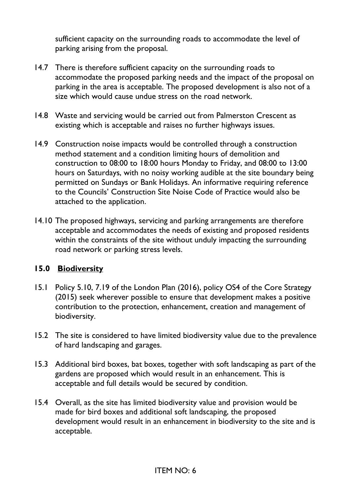sufficient capacity on the surrounding roads to accommodate the level of parking arising from the proposal.

- 14.7 There is therefore sufficient capacity on the surrounding roads to accommodate the proposed parking needs and the impact of the proposal on parking in the area is acceptable. The proposed development is also not of a size which would cause undue stress on the road network.
- 14.8 Waste and servicing would be carried out from Palmerston Crescent as existing which is acceptable and raises no further highways issues.
- 14.9 Construction noise impacts would be controlled through a construction method statement and a condition limiting hours of demolition and construction to 08:00 to 18:00 hours Monday to Friday, and 08:00 to 13:00 hours on Saturdays, with no noisy working audible at the site boundary being permitted on Sundays or Bank Holidays. An informative requiring reference to the Councils' Construction Site Noise Code of Practice would also be attached to the application.
- 14.10 The proposed highways, servicing and parking arrangements are therefore acceptable and accommodates the needs of existing and proposed residents within the constraints of the site without unduly impacting the surrounding road network or parking stress levels.

### **15.0 Biodiversity**

- 15.1 Policy 5.10, 7.19 of the London Plan (2016), policy OS4 of the Core Strategy (2015) seek wherever possible to ensure that development makes a positive contribution to the protection, enhancement, creation and management of biodiversity.
- 15.2 The site is considered to have limited biodiversity value due to the prevalence of hard landscaping and garages.
- 15.3 Additional bird boxes, bat boxes, together with soft landscaping as part of the gardens are proposed which would result in an enhancement. This is acceptable and full details would be secured by condition.
- 15.4 Overall, as the site has limited biodiversity value and provision would be made for bird boxes and additional soft landscaping, the proposed development would result in an enhancement in biodiversity to the site and is acceptable.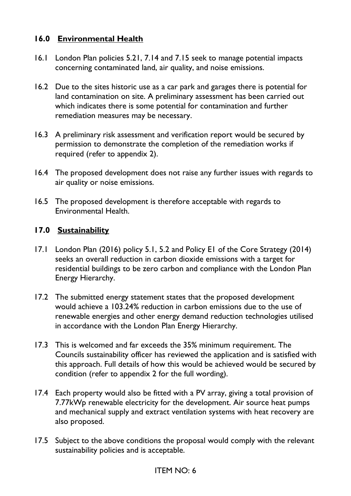### **16.0 Environmental Health**

- 16.1 London Plan policies 5.21, 7.14 and 7.15 seek to manage potential impacts concerning contaminated land, air quality, and noise emissions.
- 16.2 Due to the sites historic use as a car park and garages there is potential for land contamination on site. A preliminary assessment has been carried out which indicates there is some potential for contamination and further remediation measures may be necessary.
- 16.3 A preliminary risk assessment and verification report would be secured by permission to demonstrate the completion of the remediation works if required (refer to appendix 2).
- 16.4 The proposed development does not raise any further issues with regards to air quality or noise emissions.
- 16.5 The proposed development is therefore acceptable with regards to Environmental Health.

### **17.0 Sustainability**

- 17.1 London Plan (2016) policy 5.1, 5.2 and Policy E1 of the Core Strategy (2014) seeks an overall reduction in carbon dioxide emissions with a target for residential buildings to be zero carbon and compliance with the London Plan Energy Hierarchy.
- 17.2 The submitted energy statement states that the proposed development would achieve a 103.24% reduction in carbon emissions due to the use of renewable energies and other energy demand reduction technologies utilised in accordance with the London Plan Energy Hierarchy.
- 17.3 This is welcomed and far exceeds the 35% minimum requirement. The Councils sustainability officer has reviewed the application and is satisfied with this approach. Full details of how this would be achieved would be secured by condition (refer to appendix 2 for the full wording).
- 17.4 Each property would also be fitted with a PV array, giving a total provision of 7.77kWp renewable electricity for the development. Air source heat pumps and mechanical supply and extract ventilation systems with heat recovery are also proposed.
- 17.5 Subject to the above conditions the proposal would comply with the relevant sustainability policies and is acceptable.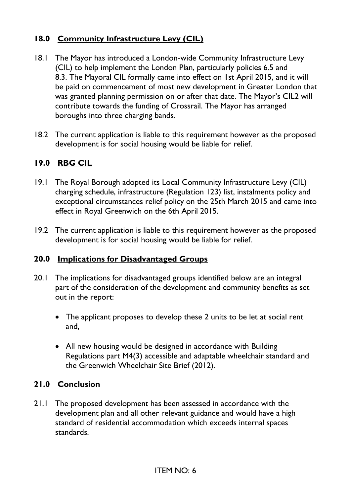# **18.0 Community Infrastructure Levy (CIL)**

- 18.1 The Mayor has introduced a London-wide Community Infrastructure Levy (CIL) to help implement the London Plan, particularly policies 6.5 and 8.3. The Mayoral CIL formally came into effect on 1st April 2015, and it will be paid on commencement of most new development in Greater London that was granted planning permission on or after that date. The Mayor's CIL2 will contribute towards the funding of Crossrail. The Mayor has arranged boroughs into three charging bands.
- 18.2 The current application is liable to this requirement however as the proposed development is for social housing would be liable for relief.

## **19.0 RBG CIL**

- 19.1 The Royal Borough adopted its Local Community Infrastructure Levy (CIL) charging schedule, infrastructure (Regulation 123) list, instalments policy and exceptional circumstances relief policy on the 25th March 2015 and came into effect in Royal Greenwich on the 6th April 2015.
- 19.2 The current application is liable to this requirement however as the proposed development is for social housing would be liable for relief.

#### **20.0 Implications for Disadvantaged Groups**

- 20.1 The implications for disadvantaged groups identified below are an integral part of the consideration of the development and community benefits as set out in the report:
	- The applicant proposes to develop these 2 units to be let at social rent and,
	- All new housing would be designed in accordance with Building Regulations part M4(3) accessible and adaptable wheelchair standard and the Greenwich Wheelchair Site Brief (2012).

#### **21.0 Conclusion**

21.1 The proposed development has been assessed in accordance with the development plan and all other relevant guidance and would have a high standard of residential accommodation which exceeds internal spaces standards.